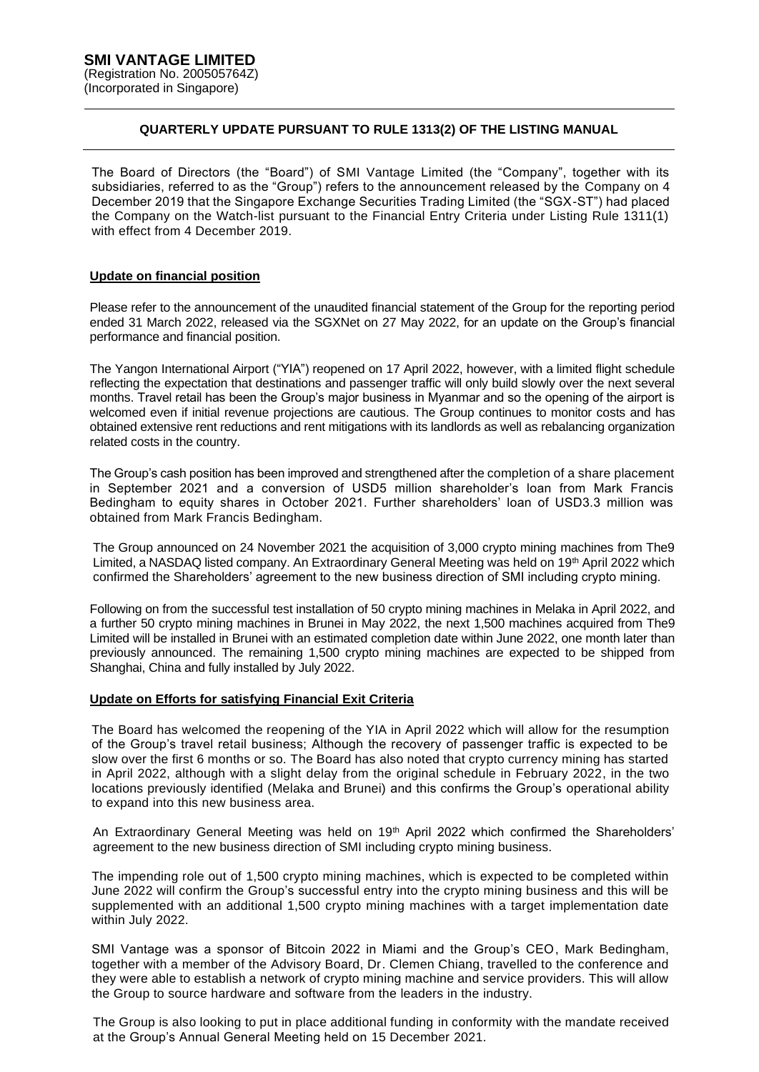## **QUARTERLY UPDATE PURSUANT TO RULE 1313(2) OF THE LISTING MANUAL**

The Board of Directors (the "Board") of SMI Vantage Limited (the "Company", together with its subsidiaries, referred to as the "Group") refers to the announcement released by the Company on 4 December 2019 that the Singapore Exchange Securities Trading Limited (the "SGX-ST") had placed the Company on the Watch-list pursuant to the Financial Entry Criteria under Listing Rule 1311(1) with effect from 4 December 2019.

## **Update on financial position**

Please refer to the announcement of the unaudited financial statement of the Group for the reporting period ended 31 March 2022, released via the SGXNet on 27 May 2022, for an update on the Group's financial performance and financial position.

The Yangon International Airport ("YIA") reopened on 17 April 2022, however, with a limited flight schedule reflecting the expectation that destinations and passenger traffic will only build slowly over the next several months. Travel retail has been the Group's major business in Myanmar and so the opening of the airport is welcomed even if initial revenue projections are cautious. The Group continues to monitor costs and has obtained extensive rent reductions and rent mitigations with its landlords as well as rebalancing organization related costs in the country.

The Group's cash position has been improved and strengthened after the completion of a share placement in September 2021 and a conversion of USD5 million shareholder's loan from Mark Francis Bedingham to equity shares in October 2021. Further shareholders' loan of USD3.3 million was obtained from Mark Francis Bedingham.

The Group announced on 24 November 2021 the acquisition of 3,000 crypto mining machines from The9 Limited, a NASDAQ listed company. An Extraordinary General Meeting was held on 19<sup>th</sup> April 2022 which confirmed the Shareholders' agreement to the new business direction of SMI including crypto mining.

Following on from the successful test installation of 50 crypto mining machines in Melaka in April 2022, and a further 50 crypto mining machines in Brunei in May 2022, the next 1,500 machines acquired from The9 Limited will be installed in Brunei with an estimated completion date within June 2022, one month later than previously announced. The remaining 1,500 crypto mining machines are expected to be shipped from Shanghai, China and fully installed by July 2022.

## **Update on Efforts for satisfying Financial Exit Criteria**

The Board has welcomed the reopening of the YIA in April 2022 which will allow for the resumption of the Group's travel retail business; Although the recovery of passenger traffic is expected to be slow over the first 6 months or so. The Board has also noted that crypto currency mining has started in April 2022, although with a slight delay from the original schedule in February 2022, in the two locations previously identified (Melaka and Brunei) and this confirms the Group's operational ability to expand into this new business area.

An Extraordinary General Meeting was held on 19<sup>th</sup> April 2022 which confirmed the Shareholders' agreement to the new business direction of SMI including crypto mining business.

The impending role out of 1,500 crypto mining machines, which is expected to be completed within June 2022 will confirm the Group's successful entry into the crypto mining business and this will be supplemented with an additional 1,500 crypto mining machines with a target implementation date within July 2022.

SMI Vantage was a sponsor of Bitcoin 2022 in Miami and the Group's CEO, Mark Bedingham, together with a member of the Advisory Board, Dr. Clemen Chiang, travelled to the conference and they were able to establish a network of crypto mining machine and service providers. This will allow the Group to source hardware and software from the leaders in the industry.

The Group is also looking to put in place additional funding in conformity with the mandate received at the Group's Annual General Meeting held on 15 December 2021.